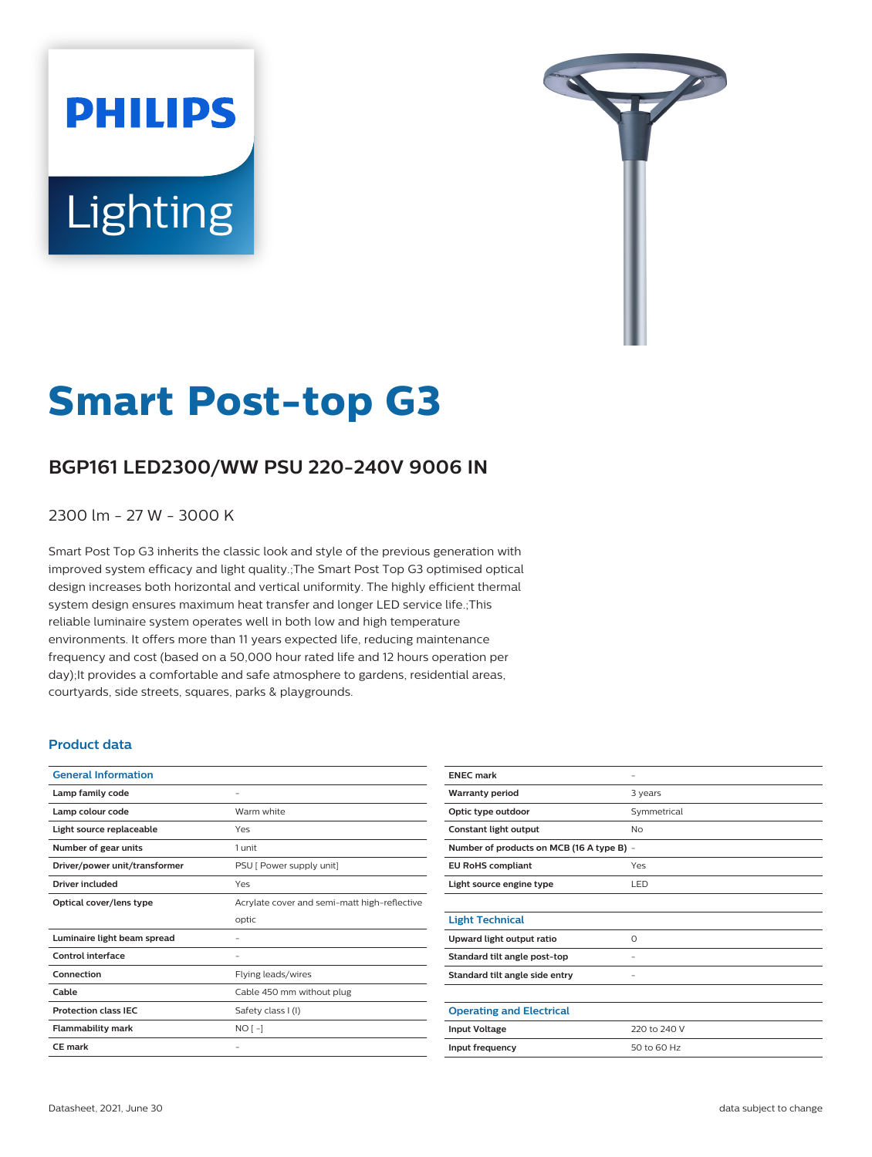# **PHILIPS** Lighting



# **Smart Post-top G3**

# **BGP161 LED2300/WW PSU 220-240V 9006 IN**

2300 lm - 27 W - 3000 K

Smart Post Top G3 inherits the classic look and style of the previous generation with improved system efficacy and light quality.;The Smart Post Top G3 optimised optical design increases both horizontal and vertical uniformity. The highly efficient thermal system design ensures maximum heat transfer and longer LED service life.;This reliable luminaire system operates well in both low and high temperature environments. It offers more than 11 years expected life, reducing maintenance frequency and cost (based on a 50,000 hour rated life and 12 hours operation per day);It provides a comfortable and safe atmosphere to gardens, residential areas, courtyards, side streets, squares, parks & playgrounds.

#### **Product data**

| <b>General Information</b>    |                                              |
|-------------------------------|----------------------------------------------|
| Lamp family code              |                                              |
| Lamp colour code              | Warm white                                   |
| Light source replaceable      | Yes                                          |
| Number of gear units          | 1 unit                                       |
| Driver/power unit/transformer | PSU [ Power supply unit]                     |
| Driver included               | Yes                                          |
| Optical cover/lens type       | Acrylate cover and semi-matt high-reflective |
|                               | optic                                        |
| Luminaire light beam spread   |                                              |
| <b>Control interface</b>      |                                              |
| Connection                    | Flying leads/wires                           |
| Cable                         | Cable 450 mm without plug                    |
| <b>Protection class IEC</b>   | Safety class I (I)                           |
| <b>Flammability mark</b>      | $NO[-]$                                      |
| <b>CE</b> mark                |                                              |

| <b>ENEC mark</b>                          |              |  |
|-------------------------------------------|--------------|--|
| <b>Warranty period</b>                    | 3 years      |  |
| Optic type outdoor                        | Symmetrical  |  |
| Constant light output                     | No           |  |
| Number of products on MCB (16 A type B) - |              |  |
| <b>EU RoHS compliant</b>                  | Yes          |  |
| Light source engine type                  | LED          |  |
|                                           |              |  |
| <b>Light Technical</b>                    |              |  |
| Upward light output ratio                 | $\circ$      |  |
| Standard tilt angle post-top              |              |  |
| Standard tilt angle side entry            |              |  |
|                                           |              |  |
| <b>Operating and Electrical</b>           |              |  |
| <b>Input Voltage</b>                      | 220 to 240 V |  |
| Input frequency                           | 50 to 60 Hz  |  |
|                                           |              |  |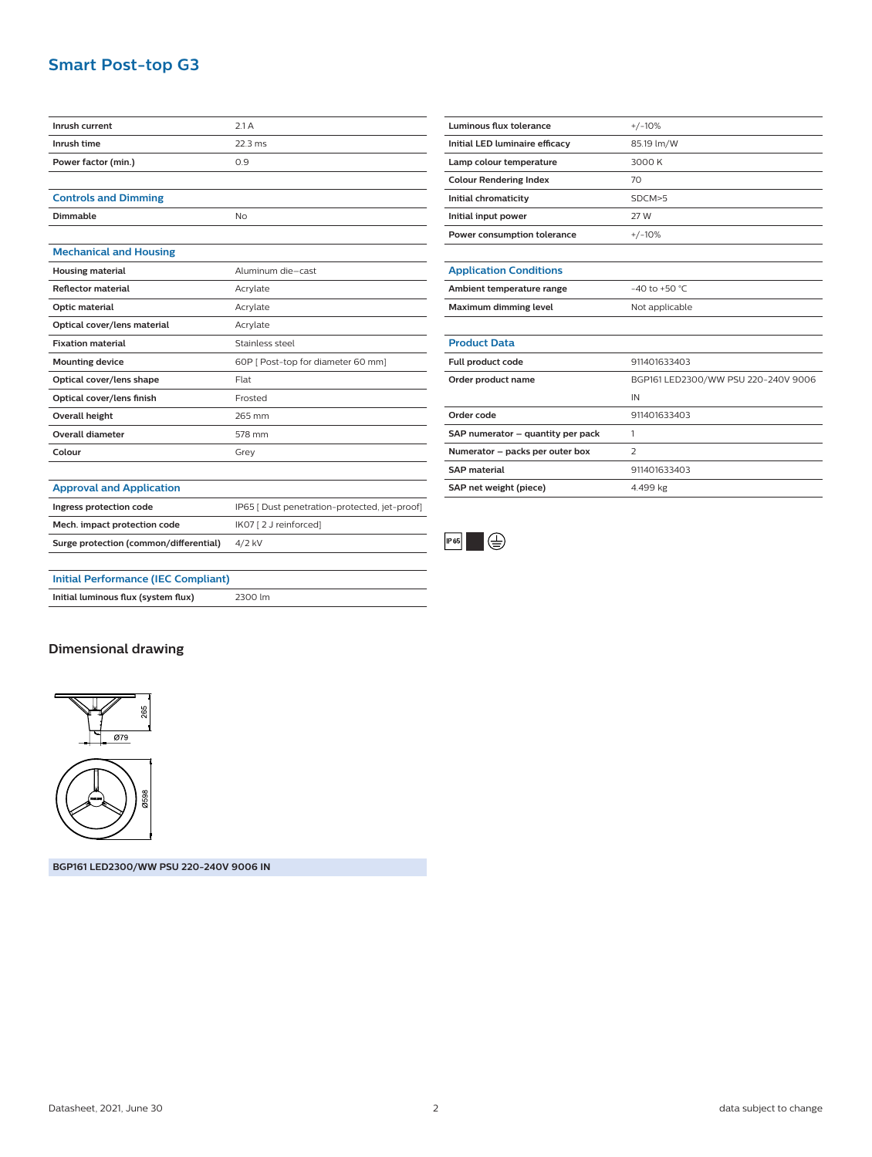## **Smart Post-top G3**

| Inrush current                             | 2.1A                                          |
|--------------------------------------------|-----------------------------------------------|
| Inrush time                                | $22.3$ ms                                     |
| Power factor (min.)                        | 0.9                                           |
|                                            |                                               |
| <b>Controls and Dimming</b>                |                                               |
| Dimmable                                   | N <sub>O</sub>                                |
|                                            |                                               |
| <b>Mechanical and Housing</b>              |                                               |
| <b>Housing material</b>                    | Aluminum die-cast                             |
| <b>Reflector material</b>                  | Acrylate                                      |
| Optic material                             | Acrylate                                      |
| Optical cover/lens material                | Acrylate                                      |
| <b>Fixation material</b>                   | Stainless steel                               |
| <b>Mounting device</b>                     | 60P [ Post-top for diameter 60 mm]            |
| Optical cover/lens shape                   | Flat                                          |
| Optical cover/lens finish                  | Frosted                                       |
| <b>Overall height</b>                      | 265 mm                                        |
| <b>Overall diameter</b>                    | 578 mm                                        |
| Colour                                     | Grey                                          |
|                                            |                                               |
| <b>Approval and Application</b>            |                                               |
| Ingress protection code                    | IP65   Dust penetration-protected, jet-proof] |
| Mech. impact protection code               | IK07 [2 J reinforced]                         |
| Surge protection (common/differential)     | 4/2 kV                                        |
|                                            |                                               |
| <b>Initial Performance (IEC Compliant)</b> |                                               |

| <b>Luminous flux tolerance</b>    | $+/-10%$                            |
|-----------------------------------|-------------------------------------|
| Initial LED luminaire efficacy    | 85.19 lm/W                          |
| Lamp colour temperature           | 3000 K                              |
| <b>Colour Rendering Index</b>     | 70                                  |
| Initial chromaticity              | SDCM > 5                            |
| Initial input power               | 27 W                                |
| Power consumption tolerance       | $+/-10%$                            |
|                                   |                                     |
| <b>Application Conditions</b>     |                                     |
| Ambient temperature range         | $-40$ to $+50$ °C.                  |
| Maximum dimming level             | Not applicable                      |
|                                   |                                     |
| <b>Product Data</b>               |                                     |
| Full product code                 | 911401633403                        |
| Order product name                | BGP161 LED2300/WW PSU 220-240V 9006 |
|                                   | IN                                  |
| Order code                        | 911401633403                        |
| SAP numerator - quantity per pack | 1                                   |
| Numerator - packs per outer box   | $\overline{z}$                      |
| <b>SAP material</b>               | 911401633403                        |



**SAP net weight (piece)** 4.499 kg

### **Initial luminous flux (system flux)** 2300 lm

#### **Dimensional drawing**



**BGP161 LED2300/WW PSU 220-240V 9006 IN**